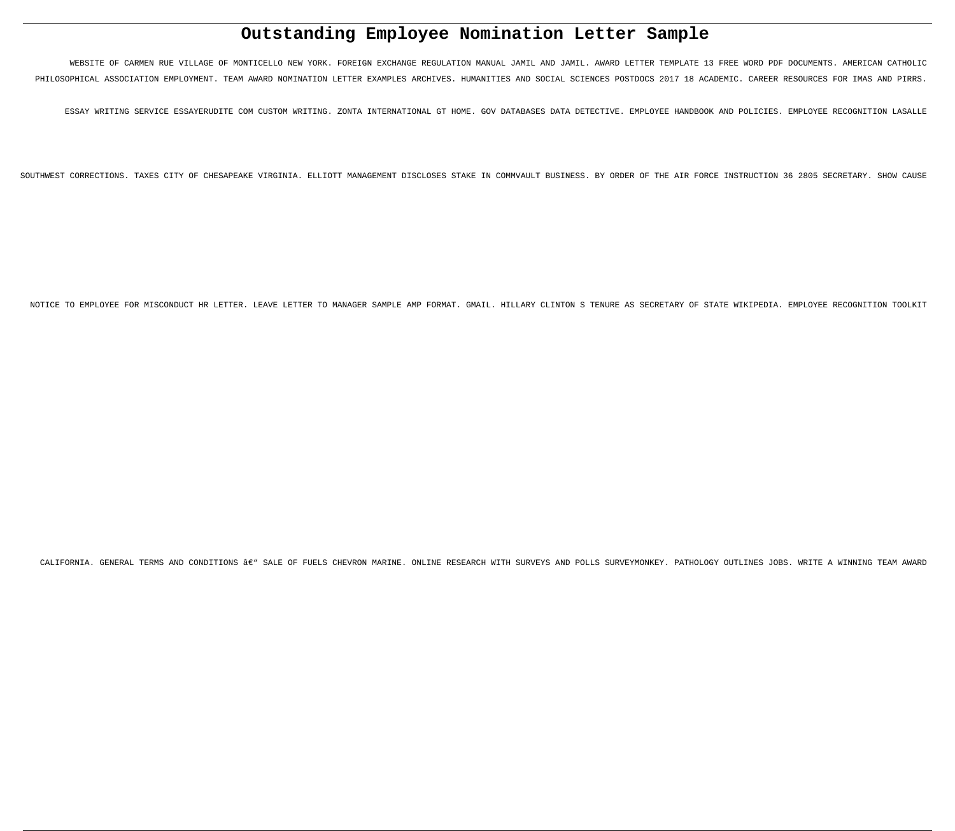# **Outstanding Employee Nomination Letter Sample**

WEBSITE OF CARMEN RUE VILLAGE OF MONTICELLO NEW YORK. FOREIGN EXCHANGE REGULATION MANUAL JAMIL AND JAMIL. AWARD LETTER TEMPLATE 13 FREE WORD PDF DOCUMENTS. AMERICAN CATHOLIC PHILOSOPHICAL ASSOCIATION EMPLOYMENT. TEAM AWARD NOMINATION LETTER EXAMPLES ARCHIVES. HUMANITIES AND SOCIAL SCIENCES POSTDOCS 2017 18 ACADEMIC. CAREER RESOURCES FOR IMAS AND PIRRS.

ESSAY WRITING SERVICE ESSAYERUDITE COM CUSTOM WRITING. ZONTA INTERNATIONAL GT HOME. GOV DATABASES DATA DETECTIVE. EMPLOYEE HANDBOOK AND POLICIES. EMPLOYEE RECOGNITION LASALLE

SOUTHWEST CORRECTIONS. TAXES CITY OF CHESAPEAKE VIRGINIA. ELLIOTT MANAGEMENT DISCLOSES STAKE IN COMMVAULT BUSINESS. BY ORDER OF THE AIR FORCE INSTRUCTION 36 2805 SECRETARY. SHOW CAUSE

NOTICE TO EMPLOYEE FOR MISCONDUCT HR LETTER. LEAVE LETTER TO MANAGER SAMPLE AMP FORMAT. GMAIL. HILLARY CLINTON S TENURE AS SECRETARY OF STATE WIKIPEDIA. EMPLOYEE RECOGNITION TOOLKIT

CALIFORNIA. GENERAL TERMS AND CONDITIONS  $\hat{a} \epsilon$ " SALE OF FUELS CHEVRON MARINE. ONLINE RESEARCH WITH SURVEYS AND POLLS SURVEYMONKEY. PATHOLOGY OUTLINES JOBS. WRITE A WINNING TEAM AWARD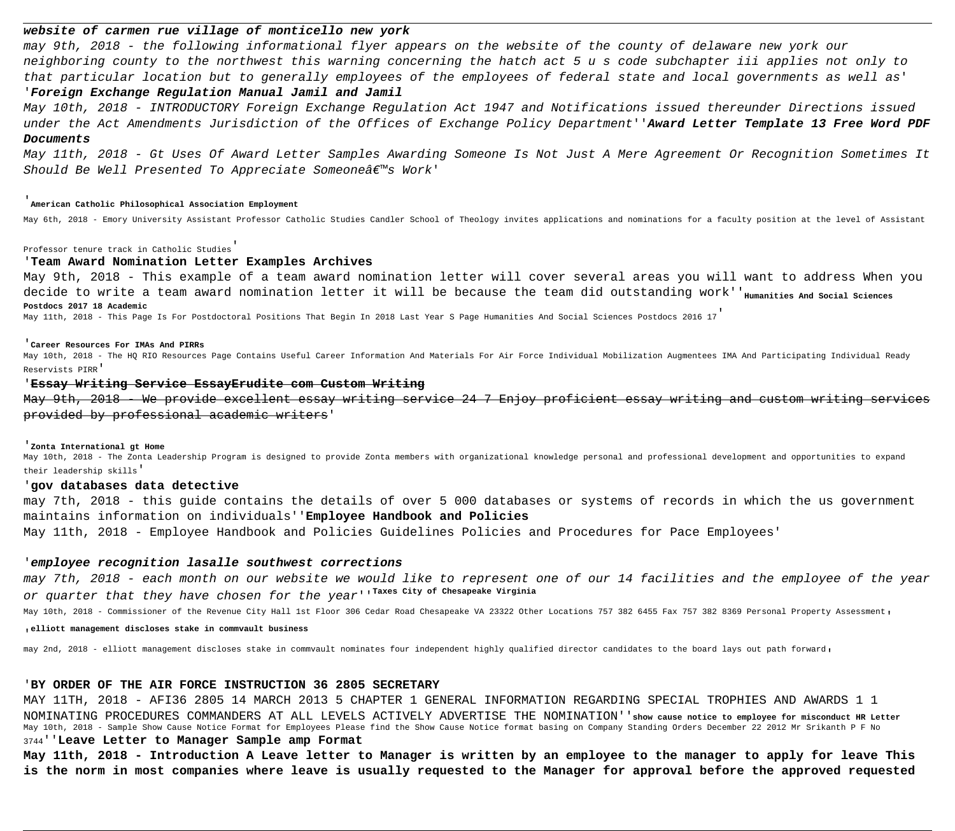# **website of carmen rue village of monticello new york**

may 9th, 2018 - the following informational flyer appears on the website of the county of delaware new york our neighboring county to the northwest this warning concerning the hatch act 5 u s code subchapter iii applies not only to that particular location but to generally employees of the employees of federal state and local governments as well as' '**Foreign Exchange Regulation Manual Jamil and Jamil**

May 11th, 2018 - Gt Uses Of Award Letter Samples Awarding Someone Is Not Just A Mere Agreement Or Recognition Sometimes It Should Be Well Presented To Appreciate Someone $\hat{a}\epsilon^{\pi\omega}$ s Work'

May 10th, 2018 - INTRODUCTORY Foreign Exchange Regulation Act 1947 and Notifications issued thereunder Directions issued under the Act Amendments Jurisdiction of the Offices of Exchange Policy Department''**Award Letter Template 13 Free Word PDF Documents**

# '**American Catholic Philosophical Association Employment**

May 6th, 2018 - Emory University Assistant Professor Catholic Studies Candler School of Theology invites applications and nominations for a faculty position at the level of Assistant

May 9th, 2018 - We provide excellent essay writing service 24 7 Enjoy proficient essay writing and custom writing provided by professional academic writers'

# Professor tenure track in Catholic Studies'

May 10th, 2018 - The Zonta Leadership Program is designed to provide Zonta members with organizational knowledge personal and professional development and opportunities to expand their leadership skills'

# '**Team Award Nomination Letter Examples Archives**

May 9th, 2018 - This example of a team award nomination letter will cover several areas you will want to address When you decide to write a team award nomination letter it will be because the team did outstanding work''<sub>Humanities And Social Sciences</sub> **Postdocs 2017 18 Academic**

May 11th, 2018 - This Page Is For Postdoctoral Positions That Begin In 2018 Last Year S Page Humanities And Social Sciences Postdocs 2016 17'

# '**Career Resources For IMAs And PIRRs**

May 10th, 2018 - The HQ RIO Resources Page Contains Useful Career Information And Materials For Air Force Individual Mobilization Augmentees IMA And Participating Individual Ready Reservists PIRR'

# '**Essay Writing Service EssayErudite com Custom Writing**

### '**Zonta International gt Home**

# '**gov databases data detective**

may 7th, 2018 - this guide contains the details of over 5 000 databases or systems of records in which the us government maintains information on individuals''**Employee Handbook and Policies**

May 11th, 2018 - Employee Handbook and Policies Guidelines Policies and Procedures for Pace Employees'

# '**employee recognition lasalle southwest corrections**

may 7th, 2018 - each month on our website we would like to represent one of our 14 facilities and the employee of the year or quarter that they have chosen for the year''**Taxes City of Chesapeake Virginia**

May 10th, 2018 - Commissioner of the Revenue City Hall 1st Floor 306 Cedar Road Chesapeake VA 23322 Other Locations 757 382 6455 Fax 757 382 8369 Personal Property Assessment,

'**elliott management discloses stake in commvault business**

may 2nd, 2018 - elliott management discloses stake in commvault nominates four independent highly qualified director candidates to the board lays out path forward,

# '**BY ORDER OF THE AIR FORCE INSTRUCTION 36 2805 SECRETARY**

MAY 11TH, 2018 - AFI36 2805 14 MARCH 2013 5 CHAPTER 1 GENERAL INFORMATION REGARDING SPECIAL TROPHIES AND AWARDS 1 1 NOMINATING PROCEDURES COMMANDERS AT ALL LEVELS ACTIVELY ADVERTISE THE NOMINATION''**show cause notice to employee for misconduct HR Letter** May 10th, 2018 - Sample Show Cause Notice Format for Employees Please find the Show Cause Notice format basing on Company Standing Orders December 22 2012 Mr Srikanth P F No <sup>3744</sup>''**Leave Letter to Manager Sample amp Format**

**May 11th, 2018 - Introduction A Leave letter to Manager is written by an employee to the manager to apply for leave This is the norm in most companies where leave is usually requested to the Manager for approval before the approved requested**